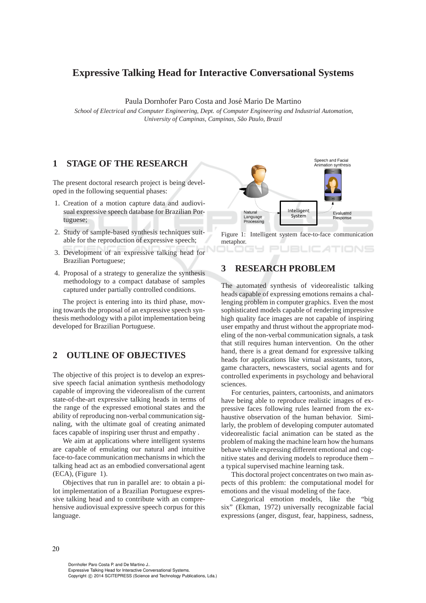# **Expressive Talking Head for Interactive Conversational Systems**

Paula Dornhofer Paro Costa and José Mario De Martino

*School of Electrical and Computer Engineering, Dept. of Computer Engineering and Industrial Automation, University of Campinas, Campinas, S˜ao Paulo, Brazil*

### **1 STAGE OF THE RESEARCH**

The present doctoral research project is being developed in the following sequential phases:

- 1. Creation of a motion capture data and audiovisual expressive speech database for Brazilian Portuguese;
- 2. Study of sample-based synthesis techniques suitable for the reproduction of expressive speech;
- 3. Development of an expressive talking head for Brazilian Portuguese;
- 4. Proposal of a strategy to generalize the synthesis methodology to a compact database of samples captured under partially controlled conditions.

The project is entering into its third phase, moving towards the proposal of an expressive speech synthesis methodology with a pilot implementation being developed for Brazilian Portuguese.

# **2 OUTLINE OF OBJECTIVES**

The objective of this project is to develop an expressive speech facial animation synthesis methodology capable of improving the videorealism of the current state-of-the-art expressive talking heads in terms of the range of the expressed emotional states and the ability of reproducing non-verbal communication signaling, with the ultimate goal of creating animated faces capable of inspiring user thrust and empathy .

We aim at applications where intelligent systems are capable of emulating our natural and intuitive face-to-face communication mechanisms in which the talking head act as an embodied conversational agent (ECA), (Figure 1).

Objectives that run in parallel are: to obtain a pilot implementation of a Brazilian Portuguese expressive talking head and to contribute with an comprehensive audiovisual expressive speech corpus for this language.



Figure 1: Intelligent system face-to-face communication metaphor.

TIONS

# **3 RESEARCH PROBLEM**

The automated synthesis of videorealistic talking heads capable of expressing emotions remains a challenging problem in computer graphics. Even the most sophisticated models capable of rendering impressive high quality face images are not capable of inspiring user empathy and thrust without the appropriate modeling of the non-verbal communication signals, a task that still requires human intervention. On the other hand, there is a great demand for expressive talking heads for applications like virtual assistants, tutors, game characters, newscasters, social agents and for controlled experiments in psychology and behavioral sciences.

For centuries, painters, cartoonists, and animators have being able to reproduce realistic images of expressive faces following rules learned from the exhaustive observation of the human behavior. Similarly, the problem of developing computer automated videorealistic facial animation can be stated as the problem of making the machine learn how the humans behave while expressing different emotional and cognitive states and deriving models to reproduce them – a typical supervised machine learning task.

This doctoral project concentrates on two main aspects of this problem: the computational model for emotions and the visual modeling of the face.

Categorical emotion models, like the "big six" (Ekman, 1972) universally recognizable facial expressions (anger, disgust, fear, happiness, sadness,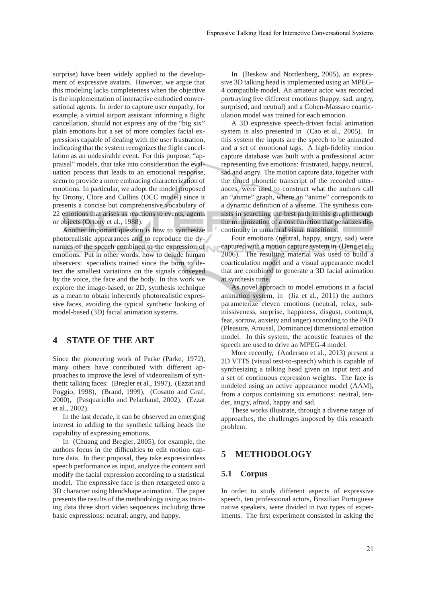surprise) have been widely applied to the development of expressive avatars. However, we argue that this modeling lacks completeness when the objective is the implementation of interactive embodied conversational agents. In order to capture user empathy, for example, a virtual airport assistant informing a flight cancellation, should not express any of the "big six" plain emotions but a set of more complex facial expressions capable of dealing with the user frustration, indicating that the system recognizes the flight cancellation as an undesirable event. For this purpose, "appraisal" models, that take into consideration the evaluation process that leads to an emotional response, seem to provide a more embracing characterization of emotions. In particular, we adopt the model proposed by Ortony, Clore and Collins (OCC model) since it presents a concise but comprehensive vocabulary of 22 emotions that arises as reactions to events, agents or objects (Ortony et al., 1988).

Another important question is how to synthesize photorealistic appearances and to reproduce the dynamics of the speech combined to the expression of emotions. Put in other words, how to delude human observers: specialists trained since the born to detect the smallest variations on the signals conveyed by the voice, the face and the body. In this work we explore the image-based, or 2D, synthesis technique as a mean to obtain inherently photorealistic expressive faces, avoiding the typical synthetic looking of model-based (3D) facial animation systems.

# **4 STATE OF THE ART**

Since the pioneering work of Parke (Parke, 1972), many others have contributed with different approaches to improve the level of videorealism of synthetic talking faces: (Bregler et al., 1997), (Ezzat and Poggio, 1998), (Brand, 1999), (Cosatto and Graf, 2000), (Pasquariello and Pelachaud, 2002), (Ezzat et al., 2002).

In the last decade, it can be observed an emerging interest in adding to the synthetic talking heads the capability of expressing emotions.

In (Chuang and Bregler, 2005), for example, the authors focus in the difficulties to edit motion capture data. In their proposal, they take expressionless speech performance as input, analyze the content and modify the facial expression according to a statistical model. The expressive face is then retargeted onto a 3D character using blendshape animation. The paper presents the results of the methodology using as training data three short video sequences including three basic expressions: neutral, angry, and happy.

In (Beskow and Nordenberg, 2005), an expressive 3D talking head is implemented using an MPEG-4 compatible model. An amateur actor was recorded portraying five different emotions (happy, sad, angry, surprised, and neutral) and a Cohen-Massaro coarticulation model was trained for each emotion.

A 3D expressive speech-driven facial animation system is also presented in (Cao et al., 2005). In this system the inputs are the speech to be animated and a set of emotional tags. A high-fidelity motion capture database was built with a professional actor representing five emotions: frustrated, happy, neutral, sad and angry. The motion capture data, together with the timed phonetic transcript of the recorded utterances, were used to construct what the authors call an "anime" graph, where an "anime" corresponds to a dynamic definition of a viseme. The synthesis consists in searching the best path in this graph through the minimization of a cost function that penalizes discontinuity in unnatural visual transitions.

Four emotions (neutral, happy, angry, sad) were captured with a motion capture system in (Deng et al., 2006). The resulting material was used to build a coarticulation model and a visual appearance model that are combined to generate a 3D facial animation at synthesis time.

As novel approach to model emotions in a facial animation system, in (Jia et al., 2011) the authors parameterize eleven emotions (neutral, relax, submissiveness, surprise, happiness, disgust, contempt, fear, sorrow, anxiety and anger) according to the PAD (Pleasure, Arousal, Dominance) dimensional emotion model. In this system, the acoustic features of the speech are used to drive an MPEG-4 model.

More recently, (Anderson et al., 2013) present a 2D VTTS (visual text-to-speech) which is capable of synthesizing a talking head given an input text and a set of continuous expression weights. The face is modeled using an active appearance model (AAM), from a corpus containing six emotions: neutral, tender, angry, afraid, happy and sad.

These works illustrate, through a diverse range of approaches, the challenges imposed by this research problem.

### **5 METHODOLOGY**

#### **5.1 Corpus**

In order to study different aspects of expressive speech, ten professional actors, Brazilian Portuguese native speakers, were divided in two types of experiments. The first experiment consisted in asking the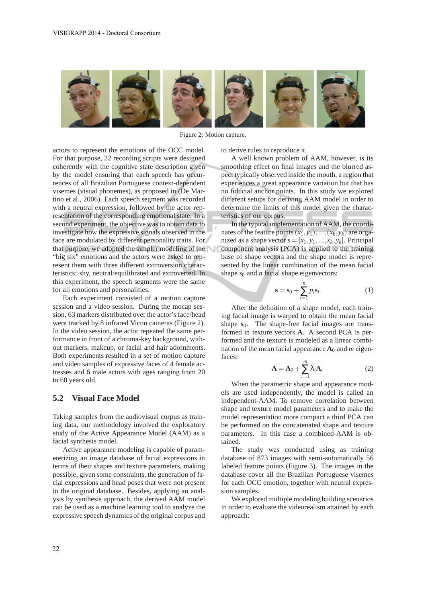

Figure 2: Motion capture.

actors to represent the emotions of the OCC model. For that purpose, 22 recording scripts were designed coherently with the cognitive state description given by the model ensuring that each speech has occurrences of all Brazilian Portuguese context-dependent visemes (visual phonemes), as proposed in (De Martino et al., 2006). Each speech segment was recorded with a neutral expression, followed by the actor representation of the corresponding emotional state. In a second experiment, the objective was to obtain data to investigate how the expressive signals observed in the face are modulated by different personality traits. For that purpose, we adopted the simpler modeling of the "big six" emotions and the actors were asked to represent them with three different extroversion characteristics: shy, neutral/equilibrated and extroverted. In this experiment, the speech segments were the same for all emotions and personalities.

Each experiment consisted of a motion capture session and a video session. During the mocap session, 63 markers distributed over the actor's face/head were tracked by 8 infrared Vicon cameras (Figure 2). In the video session, the actor repeated the same performance in front of a chroma-key background, without markers, makeup, or facial and hair adornments. Both experiments resulted in a set of motion capture and video samples of expressive faces of 4 female actresses and 6 male actors with ages ranging from 20 to 60 years old.

#### **5.2 Visual Face Model**

Taking samples from the audiovisual corpus as training data, our methodology involved the exploratory study of the Active Appearance Model (AAM) as a facial synthesis model.

Active appearance modeling is capable of parameterizing an image database of facial expressions in terms of their shapes and texture parameters, making possible, given some constraints, the generation of facial expressions and head poses that were not present in the original database. Besides, applying an analysis by synthesis approach, the derived AAM model can be used as a machine learning tool to analyze the expressive speech dynamics of the original corpus and to derive rules to reproduce it.

A well known problem of AAM, however, is its smoothing effect on final images and the blurred aspect typically observed inside the mouth, a region that experiences a great appearance variation but that has no fiducial anchor points. In this study we explored different setups for deriving AAM model in order to determine the limits of this model given the characteristics of our corpus.

In the typical implementation of AAM, the coordinates of the feature points  $(x_1, y_1), ..., (x_k, y_k)$  are organized as a shape vector  $s = [x_1, y_1, ..., x_k, y_k]$ . Principal component analysis (PCA) is applied to the training base of shape vectors and the shape model is represented by the linear combination of the mean facial shape  $s_0$  and *n* facial shape eigenvectors:

$$
\mathbf{s} = \mathbf{s}_0 + \sum_{i=1}^{n} p_i \mathbf{s}_i \tag{1}
$$

After the definition of a shape model, each training facial image is warped to obtain the mean facial shape  $s_0$ . The shape-free facial images are transformed in texture vectors **A**. A second PCA is performed and the texture is modeled as a linear combination of the mean facial appearance  $\mathbf{A}_0$  and *m* eigenfaces:

$$
\mathbf{A} = \mathbf{A}_0 + \sum_{i=1}^{m} \lambda_i \mathbf{A}_i
$$
 (2)

When the parametric shape and appearance models are used independently, the model is called an independent-AAM. To remove correlation between shape and texture model parameters and to make the model representation more compact a third PCA can be performed on the concatenated shape and texture parameters. In this case a combined-AAM is obtained.

The study was conducted using as training database of 873 images with semi-automatically 56 labeled feature points (Figure 3). The images in the database cover all the Brazilian Portuguese visemes for each OCC emotion, together with neutral expression samples.

We explored multiple modeling building scenarios in order to evaluate the videorealism attained by each approach: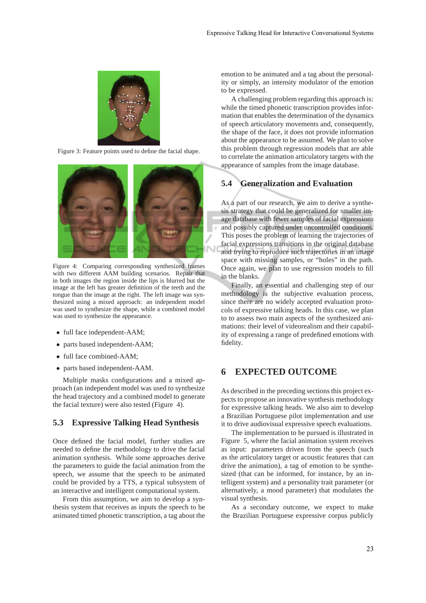

Figure 3: Feature points used to define the facial shape.



Figure 4: Comparing corresponding synthesized frames with two different AAM building scenarios. Repair that in both images the region inside the lips is blurred but the image at the left has greater definition of the teeth and the tongue than the image at the right. The left image was synthesized using a mixed approach: an independent model was used to synthesize the shape, while a combined model was used to synthesize the appearance.

- full face independent-AAM;
- parts based independent-AAM;
- full face combined-AAM;
- parts based independent-AAM.

Multiple masks configurations and a mixed approach (an independent model was used to synthesize the head trajectory and a combined model to generate the facial texture) were also tested (Figure 4).

#### **5.3 Expressive Talking Head Synthesis**

Once defined the facial model, further studies are needed to define the methodology to drive the facial animation synthesis. While some approaches derive the parameters to guide the facial animation from the speech, we assume that the speech to be animated could be provided by a TTS, a typical subsystem of an interactive and intelligent computational system.

From this assumption, we aim to develop a synthesis system that receives as inputs the speech to be animated timed phonetic transcription, a tag about the emotion to be animated and a tag about the personality or simply, an intensity modulator of the emotion to be expressed.

A challenging problem regarding this approach is: while the timed phonetic transcription provides information that enables the determination of the dynamics of speech articulatory movements and, consequently, the shape of the face, it does not provide information about the appearance to be assumed. We plan to solve this problem through regression models that are able to correlate the animation articulatory targets with the appearance of samples from the image database.

#### **5.4 Generalization and Evaluation**

As a part of our research, we aim to derive a synthesis strategy that could be generalized for smaller image database with fewer samples of facial expressions and possibly captured under uncontrolled conditions. This poses the problem of learning the trajectories of facial expressions transitions in the original database and trying to reproduce such trajectories in an image space with missing samples, or "holes" in the path. Once again, we plan to use regression models to fill in the blanks.

Finally, an essential and challenging step of our methodology is the subjective evaluation process, since there are no widely accepted evaluation protocols of expressive talking heads. In this case, we plan to to assess two main aspects of the synthesized animations: their level of videorealism and their capability of expressing a range of predefined emotions with fidelity.

### **6 EXPECTED OUTCOME**

As described in the preceding sections this project expects to propose an innovative synthesis methodology for expressive talking heads. We also aim to develop a Brazilian Portuguese pilot implementation and use it to drive audiovisual expressive speech evaluations.

The implementation to be pursued is illustrated in Figure 5, where the facial animation system receives as input: parameters driven from the speech (such as the articulatory target or acoustic features that can drive the animation), a tag of emotion to be synthesized (that can be informed, for instance, by an intelligent system) and a personality trait parameter (or alternatively, a mood parameter) that modulates the visual synthesis.

As a secondary outcome, we expect to make the Brazilian Portuguese expressive corpus publicly